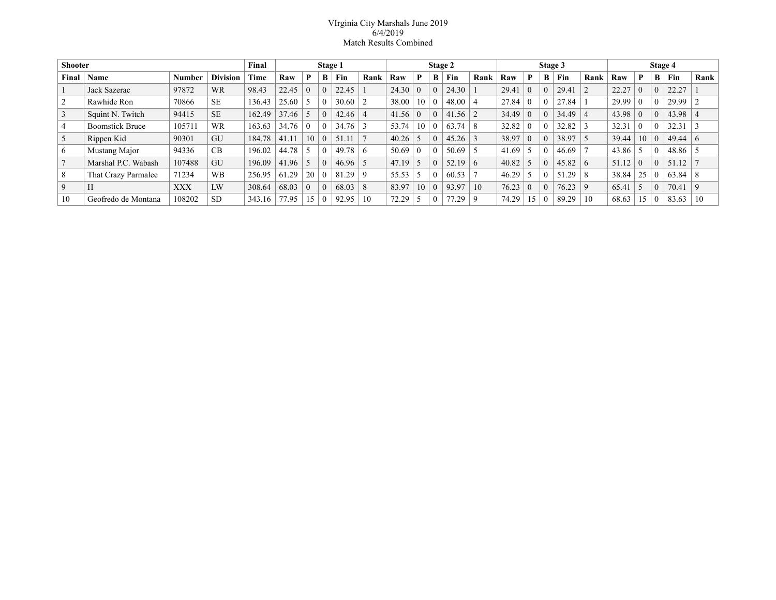## VIrginia City Marshals June 2019 6/4/2019 Match Results Combined

| <b>Shooter</b> |                        |            |                 | Final  | Stage 1 |          |          |       | Stage 2    |       |          |          | Stage 3 |              |       |          |          | Stage 4 |          |       |          |          |       |      |
|----------------|------------------------|------------|-----------------|--------|---------|----------|----------|-------|------------|-------|----------|----------|---------|--------------|-------|----------|----------|---------|----------|-------|----------|----------|-------|------|
| Final          | Name                   | ⊤ Number   | <b>Division</b> | Time   | Raw     | P        | B        | Fin   | Rank       | Raw   | P        | В        | Fin     | Rank         | Raw   | P        | B        | Fin     | Rank     | Raw   | P        | В        | Fin   | Rank |
|                | Jack Sazerac           | 97872      | <b>WR</b>       | 98.43  | 22.45   | $\theta$ |          | 22.45 |            | 24.30 | $\Omega$ | $\Omega$ | 24.30   |              | 29.41 | $\Omega$ | $\theta$ | 29.41   |          | 22.27 | $\Omega$ |          | 22.27 |      |
|                | Rawhide Ron            | 70866      | <b>SE</b>       | 136.43 | 25.60   | -5       |          | 30.60 |            | 38.00 | 10       |          | 48.00   |              | 27.84 | $\theta$ | $\Omega$ | 27.84   |          | 29.99 | $\Omega$ |          | 29.99 |      |
|                | Squint N. Twitch       | 94415      | <b>SE</b>       | 162.49 | 37.46   |          | $\theta$ | 42.46 |            | 41.56 | $\theta$ | $\theta$ | 41.56   |              | 34.49 | $\theta$ | $\theta$ | 34.49   |          | 43.98 | $\Omega$ |          | 43.98 |      |
| 4              | <b>Boomstick Bruce</b> | 105711     | WR              | 163.63 | 34.76   | $\theta$ |          | 34.76 |            | 53.74 | 10       |          | 63.74   | 8            | 32.82 | $\theta$ | $\theta$ | 32.82   |          | 32.31 | $\Omega$ |          | 32.31 |      |
| 5              | Rippen Kid             | 90301      | GU              | 184.78 | 41.11   | 10       | $\Omega$ | 51.11 |            | 40.26 |          | $\Omega$ | 45.26   |              | 38.97 | $\theta$ | $\Omega$ | 38.97   |          | 39.44 | 10       | $\Omega$ | 49.44 | 6    |
| 6              | Mustang Major          | 94336      | CB              | 196.02 | 44.78   | -5       |          | 49.78 | $\epsilon$ | 50.69 | $\Omega$ |          | 50.69   |              | 41.69 | -5       | $\theta$ | 46.69   |          | 43.86 |          |          | 48.86 |      |
|                | Marshal P.C. Wabash    | 107488     | GU              | 196.09 | 41.96   | -5       | 0        | 46.96 |            | 47.19 | -5       | $\Omega$ | 52.19   | $\mathbf{a}$ | 40.82 | 5        | $\theta$ | 45.82   | _რ       | 51.12 | $\Omega$ | $\Omega$ | 51.12 |      |
| 8              | That Crazy Parmalee    | 71234      | <b>WB</b>       | 256.95 | 61.29   | 20       |          | 81.29 | q          | 55.53 |          |          | 60.53   |              | 46.29 | -5       | $\theta$ | 51.29   |          | 38.84 | 25       |          | 63.84 | 8    |
| 9              | H                      | <b>XXX</b> | LW              | 308.64 | 68.03   | $\theta$ |          | 68.03 | 8          | 83.97 | 10       | $\Omega$ | 93.97   | 10           | 76.23 | $\theta$ | $\theta$ | 76.23   | $\alpha$ | 65.41 |          | $\Omega$ | 70.41 | 9    |
| 10             | Geofredo de Montana    | 108202     | <b>SD</b>       | 343.16 | 77.95   | 15       |          | 92.95 | 10         | 72.29 |          |          | 77.29   |              | 74.29 | 15       | $\theta$ | 89.29   | 10       | 68.63 | 15       |          | 83.63 | 10   |